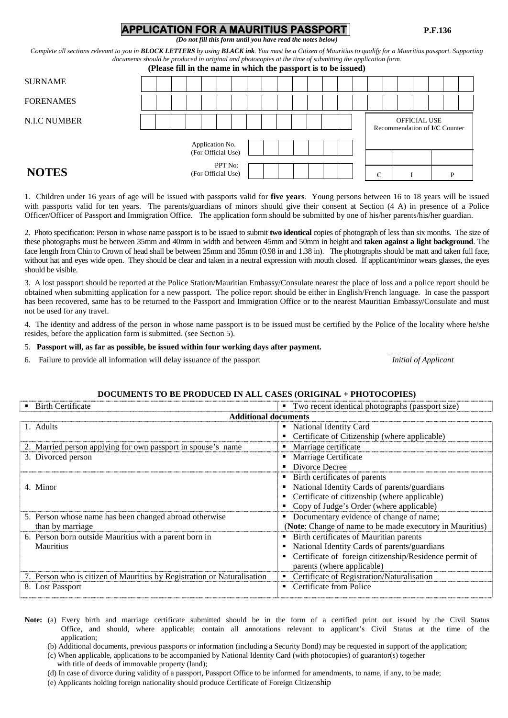# **APPLICATION FOR A MAURITIUS PASSPORT****P.F.136**

*(Do not fill this form until you have read the notes below)*

*Complete all sections relevant to you in BLOCK LETTERS by using BLACK ink. You must be a Citizen of Mauritius to qualify for a Mauritius passport. Supporting documents should be produced in original and photocopies at the time of submitting the application form.*

| (Please fill in the name in which the passport is to be issued) |  |  |  |  |
|-----------------------------------------------------------------|--|--|--|--|
|-----------------------------------------------------------------|--|--|--|--|

| <b>SURNAME</b>   |  |  |                               |  |  |  |  |                  |  |                                                      |   |  |
|------------------|--|--|-------------------------------|--|--|--|--|------------------|--|------------------------------------------------------|---|--|
| <b>FORENAMES</b> |  |  |                               |  |  |  |  |                  |  |                                                      |   |  |
| N.I.C NUMBER     |  |  | Application No.               |  |  |  |  |                  |  | OFFICIAL USE<br>Recommendation of <b>I/C</b> Counter |   |  |
|                  |  |  | (For Official Use)<br>PPT No: |  |  |  |  |                  |  |                                                      |   |  |
| <b>NOTES</b>     |  |  | (For Official Use)            |  |  |  |  | $\sqrt{ }$<br>τ. |  |                                                      | D |  |

1. Children under 16 years of age will be issued with passports valid for **five years**. Young persons between 16 to 18 years will be issued with passports valid for ten years. The parents/guardians of minors should give their consent at Section (4 A) in presence of a Police Officer/Officer of Passport and Immigration Office. The application form should be submitted by one of his/her parents/his/her guardian.

2. Photo specification: Person in whose name passport is to be issued to submit **two identical** copies of photograph of less than six months. The size of these photographs must be between 35mm and 40mm in width and between 45mm and 50mm in height and **taken against a light background**. The face length from Chin to Crown of head shall be between 25mm and 35mm (0.98 in and 1.38 in). The photographs should be matt and taken full face, without hat and eyes wide open. They should be clear and taken in a neutral expression with mouth closed. If applicant/minor wears glasses, the eyes should be visible.

3. A lost passport should be reported at the Police Station/Mauritian Embassy/Consulate nearest the place of loss and a police report should be obtained when submitting application for a new passport. The police report should be either in English/French language. In case the passport has been recovered, same has to be returned to the Passport and Immigration Office or to the nearest Mauritian Embassy/Consulate and must not be used for any travel.

4. The identity and address of the person in whose name passport is to be issued must be certified by the Police of the locality where he/she resides, before the application form is submitted. (see Section 5).

5. **Passport will, as far as possible, be issued within four working days after payment.** <br>6. Failure to provide all information will delay issuance of the passport *notional of Applicant* 

6. Failure to provide all information will delay issuance of the passport *Initial of Applicant*

### **DOCUMENTS TO BE PRODUCED IN ALL CASES (ORIGINAL + PHOTOCOPIES)**

| <b>Birth Certificate</b>                                                | • Two recent identical photographs (passport size)               |
|-------------------------------------------------------------------------|------------------------------------------------------------------|
| <b>Additional documents</b>                                             |                                                                  |
| 1. Adults                                                               | • National Identity Card                                         |
|                                                                         | • Certificate of Citizenship (where applicable)                  |
| 2. Married person applying for own passport in spouse's name            | • Marriage certificate                                           |
| 3. Divorced person                                                      | • Marriage Certificate                                           |
|                                                                         | • Divorce Decree                                                 |
|                                                                         | • Birth certificates of parents                                  |
| 4. Minor                                                                | National Identity Cards of parents/guardians                     |
|                                                                         | Certificate of citizenship (where applicable)                    |
|                                                                         | Copy of Judge's Order (where applicable)                         |
| 5. Person whose name has been changed abroad otherwise                  | • Documentary evidence of change of name;                        |
| than by marriage                                                        | ( <b>Note:</b> Change of name to be made executory in Mauritius) |
| 6. Person born outside Mauritius with a parent born in                  | • Birth certificates of Mauritian parents                        |
| Mauritius                                                               | National Identity Cards of parents/guardians                     |
|                                                                         | Certificate of foreign citizenship/Residence permit of           |
|                                                                         | parents (where applicable)                                       |
| 7. Person who is citizen of Mauritius by Registration or Naturalisation | • Certificate of Registration/Naturalisation                     |
| 8. Lost Passport                                                        | • Certificate from Police                                        |

Note: (a) Every birth and marriage certificate submitted should be in the form of a certified print out issued by the Civil Status Office, and should, where applicable; contain all annotations relevant to applicant's Civil Status at the time of the application;

(b) Additional documents, previous passports or information (including a Security Bond) may be requested in support of the application;

(c) When applicable, applications to be accompanied by National Identity Card (with photocopies) of guarantor(s) together

with title of deeds of immovable property (land);

(d) In case of divorce during validity of a passport, Passport Office to be informed for amendments, to name, if any, to be made;

(e) Applicants holding foreign nationality should produce Certificate of Foreign Citizenship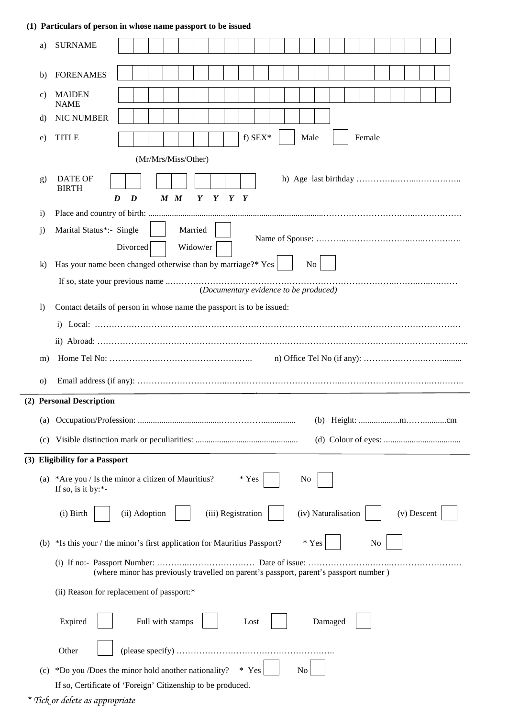## **(1) Particulars of person in whose name passport to be issued**

| a)               | <b>SURNAME</b>                                                                                                                |
|------------------|-------------------------------------------------------------------------------------------------------------------------------|
| b)               | <b>FORENAMES</b>                                                                                                              |
| C)               | <b>MAIDEN</b><br><b>NAME</b>                                                                                                  |
| d)               | <b>NIC NUMBER</b>                                                                                                             |
| e)               | f) $SEX^*$<br><b>TITLE</b><br>Male<br>Female                                                                                  |
|                  | (Mr/Mrs/Miss/Other)                                                                                                           |
| g)               | <b>DATE OF</b><br><b>BIRTH</b><br>$M$ $M$<br>$Y$ $Y$ $Y$ $Y$<br>D<br>$\bm{D}$                                                 |
| $\mathbf{i}$     |                                                                                                                               |
| j)               | Marital Status*:- Single<br>Married<br>Divorced<br>Widow/er                                                                   |
| $\bf k$          | Has your name been changed otherwise than by marriage?* Yes<br>No                                                             |
|                  | (Documentary evidence to be produced)                                                                                         |
| $\left( \right)$ | Contact details of person in whose name the passport is to be issued:                                                         |
|                  |                                                                                                                               |
|                  |                                                                                                                               |
|                  |                                                                                                                               |
| m)               |                                                                                                                               |
| O)               |                                                                                                                               |
|                  | (2) Personal Description                                                                                                      |
|                  |                                                                                                                               |
| (c)              |                                                                                                                               |
|                  | (3) Eligibility for a Passport                                                                                                |
| (a)              | * Yes<br>*Are you / Is the minor a citizen of Mauritius?<br>No<br>If so, is it by:*-                                          |
|                  | (iii) Registration<br>(iv) Naturalisation<br>(ii) Adoption<br>(i) Birth<br>(v) Descent                                        |
| (b)              | * Yes<br>*Is this your / the minor's first application for Mauritius Passport?<br>No                                          |
|                  | (where minor has previously travelled on parent's passport, parent's passport number)                                         |
|                  | (ii) Reason for replacement of passport:*                                                                                     |
|                  | Expired<br>Full with stamps<br>Damaged<br>Lost                                                                                |
|                  | Other                                                                                                                         |
|                  | $*$                                                                                                                           |
| (c)              | *Do you /Does the minor hold another nationality?<br>No<br>Yes<br>If so, Certificate of 'Foreign' Citizenship to be produced. |

 *<sup>\*</sup> Tick or delete as appropriate*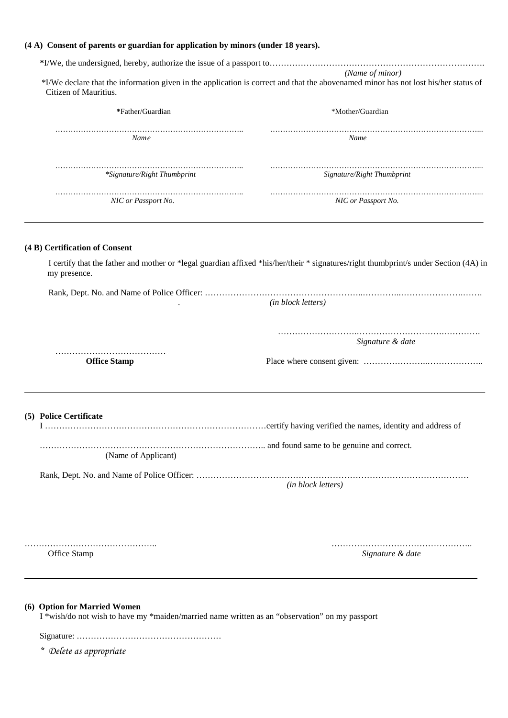| (4 A) Consent of parents or guardian for application by minors (under 18 years).                                               |                                                                                                                                                        |
|--------------------------------------------------------------------------------------------------------------------------------|--------------------------------------------------------------------------------------------------------------------------------------------------------|
| Citizen of Mauritius.                                                                                                          | (Name of minor)<br>*I/We declare that the information given in the application is correct and that the abovenamed minor has not lost his/her status of |
| *Father/Guardian                                                                                                               | *Mother/Guardian                                                                                                                                       |
| Nam e                                                                                                                          | Name                                                                                                                                                   |
| *Signature/Right Thumbprint                                                                                                    | Signature/Right Thumbprint                                                                                                                             |
| NIC or Passport No.                                                                                                            | NIC or Passport No.                                                                                                                                    |
| (4 B) Certification of Consent                                                                                                 |                                                                                                                                                        |
| my presence.                                                                                                                   | I certify that the father and mother or *legal guardian affixed *his/her/their * signatures/right thumbprint/s under Section (4A) in                   |
|                                                                                                                                | (in block letters)                                                                                                                                     |
|                                                                                                                                | Signature & date                                                                                                                                       |
| <b>Office Stamp</b>                                                                                                            |                                                                                                                                                        |
| (5) Police Certificate                                                                                                         |                                                                                                                                                        |
| (Name of Applicant)                                                                                                            |                                                                                                                                                        |
|                                                                                                                                | (in block letters)                                                                                                                                     |
| Office Stamp                                                                                                                   | Signature & date                                                                                                                                       |
| (6) Option for Married Women<br>I *wish/do not wish to have my *maiden/married name written as an "observation" on my passport |                                                                                                                                                        |

*\* Delete as appropriate*